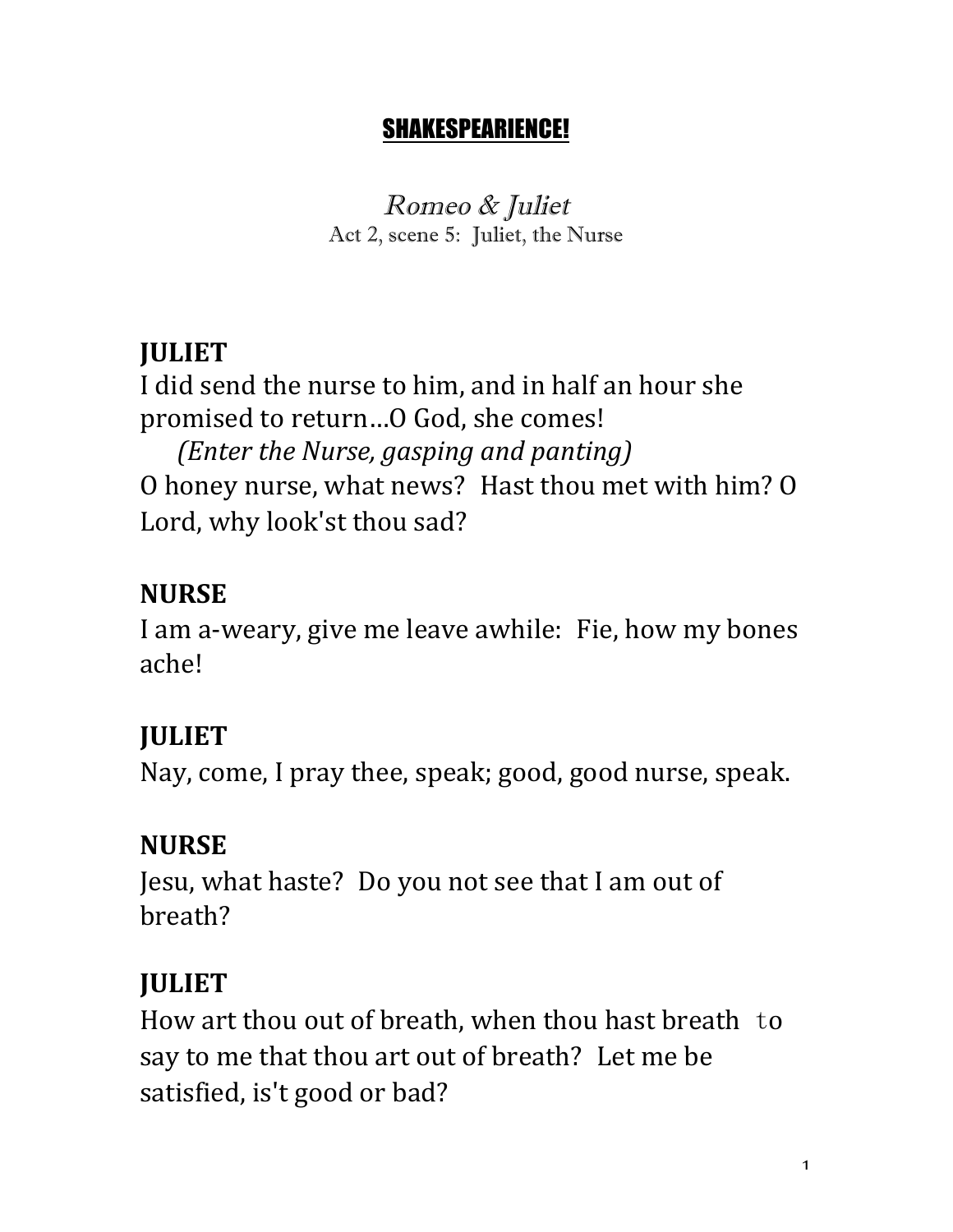#### SHAKESPEARIENCE!

Romeo & Juliet Act 2, scene 5: Juliet, the Nurse

#### **JULIET**

I did send the nurse to him, and in half an hour she promised to return...O God, she comes! *(Enter the Nurse, gasping and panting)* 

O honey nurse, what news? Hast thou met with him? O Lord, why look'st thou sad?

### **NURSE**

I am a-weary, give me leave awhile: Fie, how my bones ache!

# **JULIET**

Nay, come, I pray thee, speak; good, good nurse, speak.

# **NURSE**

Jesu, what haste? Do you not see that I am out of breath?

# **JULIET**

How art thou out of breath, when thou hast breath to say to me that thou art out of breath? Let me be satisfied, is't good or bad?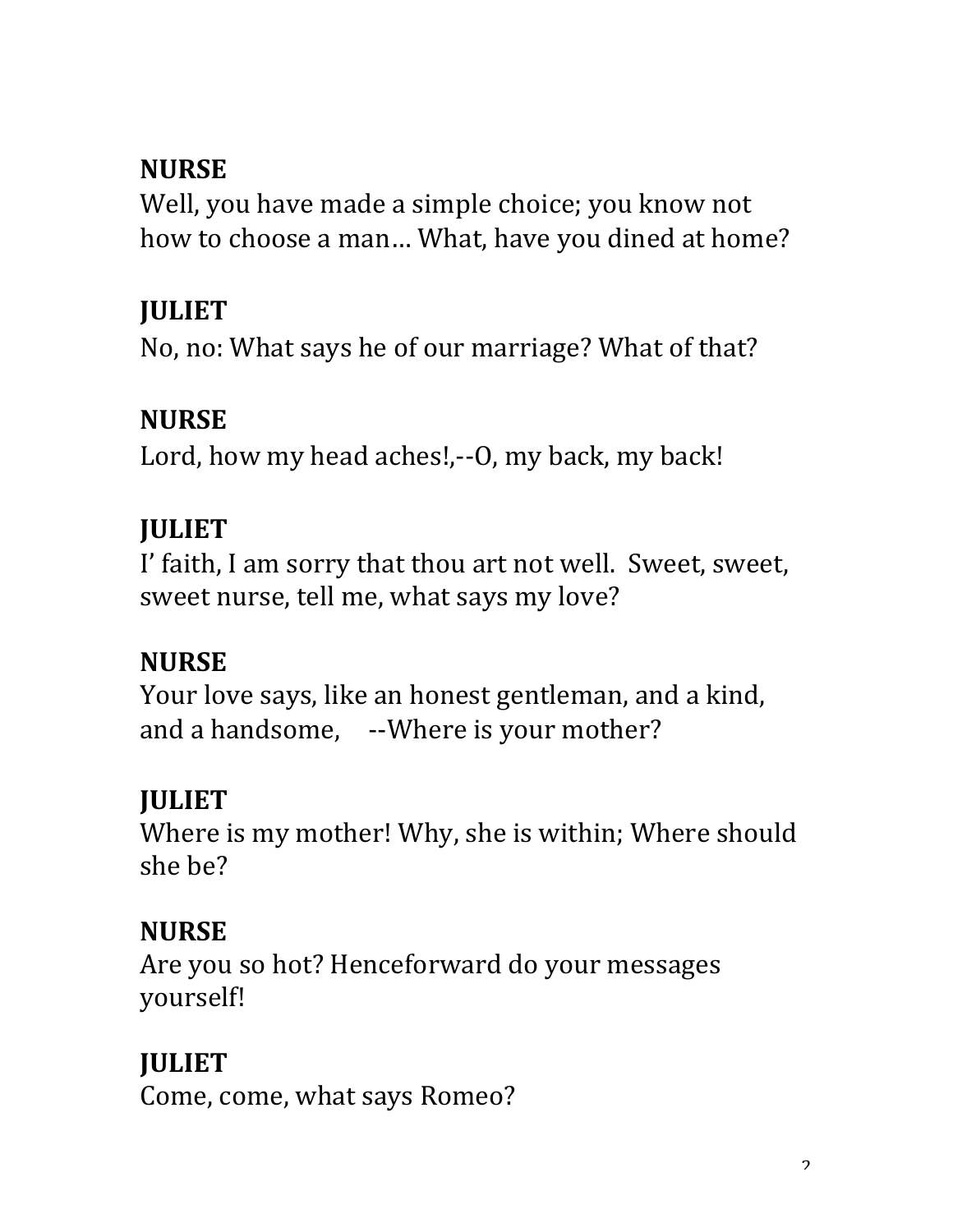#### **NURSE**

Well, you have made a simple choice; you know not how to choose a man... What, have you dined at home?

# **JULIET**

No, no: What says he of our marriage? What of that?

### **NURSE**

Lord, how my head aches!,--O, my back, my back!

### **JULIET**

I' faith, I am sorry that thou art not well. Sweet, sweet, sweet nurse, tell me, what says my love?

# **NURSE**

Your love says, like an honest gentleman, and a kind, and a handsome, --Where is your mother?

# **JULIET**

Where is my mother! Why, she is within; Where should she be?

# **NURSE**

Are you so hot? Henceforward do your messages yourself!

# **JULIET**

Come, come, what says Romeo?